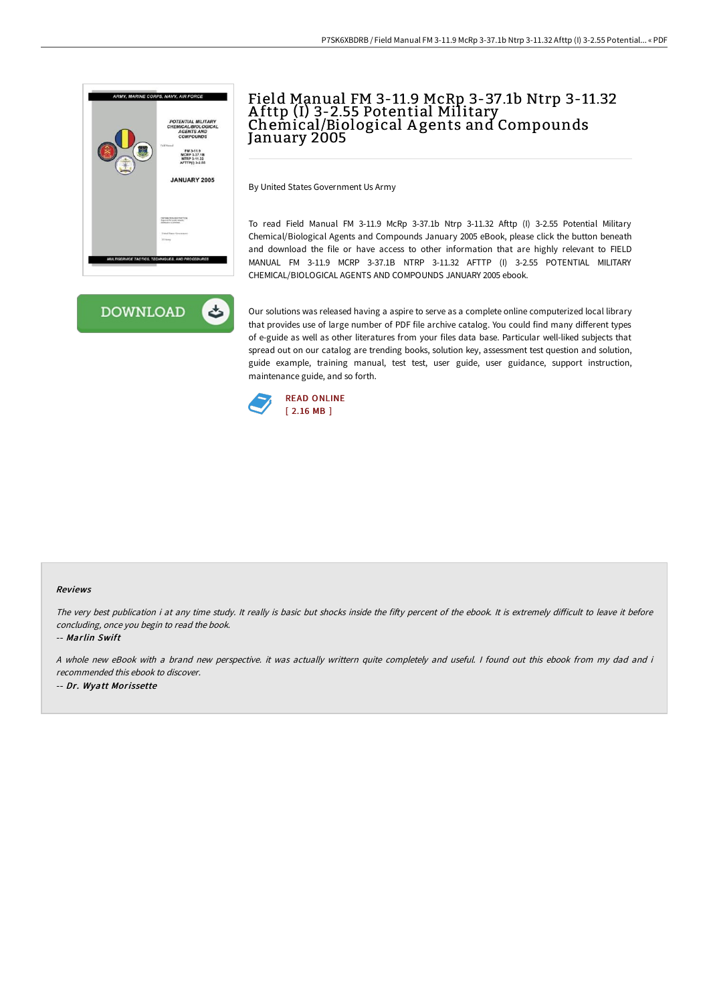



## Field Manual FM 3-11.9 McRp 3-37.1b Ntrp 3-11.32 A fttp (I) 3-2.55 Potential Military Chemical/Biological A gents and Compounds January 2005

By United States Government Us Army

To read Field Manual FM 3-11.9 McRp 3-37.1b Ntrp 3-11.32 Afttp (I) 3-2.55 Potential Military Chemical/Biological Agents and Compounds January 2005 eBook, please click the button beneath and download the file or have access to other information that are highly relevant to FIELD MANUAL FM 3-11.9 MCRP 3-37.1B NTRP 3-11.32 AFTTP (I) 3-2.55 POTENTIAL MILITARY CHEMICAL/BIOLOGICAL AGENTS AND COMPOUNDS JANUARY 2005 ebook.

Our solutions was released having a aspire to serve as a complete online computerized local library that provides use of large number of PDF file archive catalog. You could find many different types of e-guide as well as other literatures from your files data base. Particular well-liked subjects that spread out on our catalog are trending books, solution key, assessment test question and solution, guide example, training manual, test test, user guide, user guidance, support instruction, maintenance guide, and so forth.



## Reviews

The very best publication i at any time study. It really is basic but shocks inside the fifty percent of the ebook. It is extremely difficult to leave it before concluding, once you begin to read the book.

-- Marlin Swift

A whole new eBook with <sup>a</sup> brand new perspective. it was actually writtern quite completely and useful. I found out this ebook from my dad and i recommended this ebook to discover.

-- Dr. Wyatt Morissette